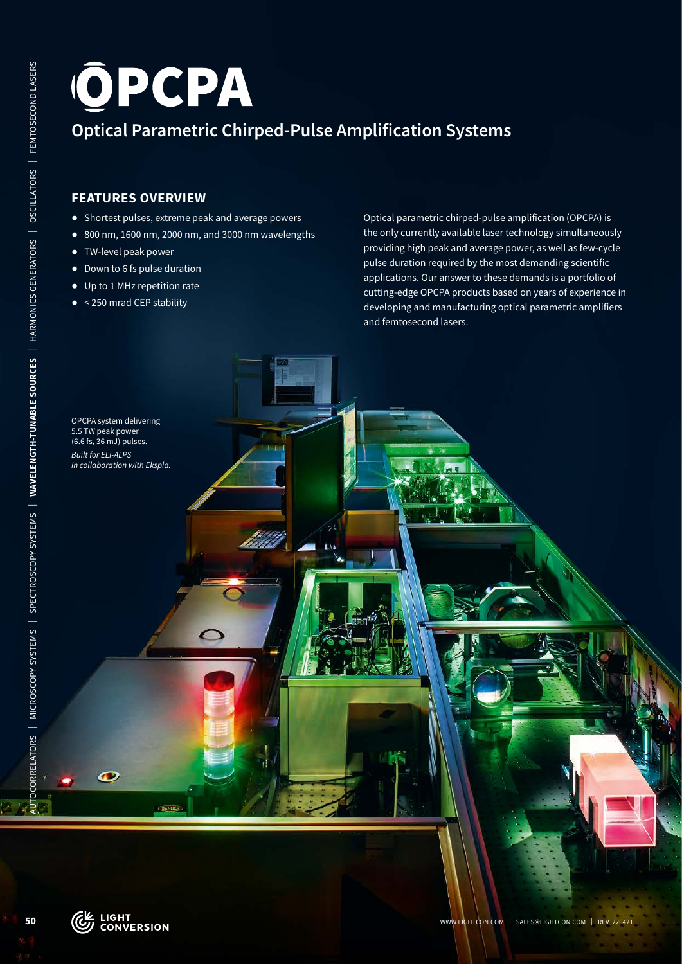# WWW.LIGHTCON.COM POP **CPA**<br>
PERTURES OVERVIEW<br>
WELLENGTH COM | PERTURES OVERVIEW<br> **WAVELENGTH-TUNABLE SOURCES**<br>
| PERTURES OVERVIEW<br>
| PERTURE SOURCES<br>
| PERTURE SOURCES<br>
| PERTURE SOURCES | PUBLIC AMPLIFICATION SYSTEMS<br>
| **Optical Parametric Chirped-Pulse Amplification Systems**

# **FEATURES OVERVIEW**

- ᰋ Shortest pulses, extreme peak and average powers
- ᰋ 800 nm, 1600 nm, 2000 nm, and 3000 nm wavelengths
- ᰋ TW-level peak power
- ᰋ Down to 6 fs pulse duration
- ᰋ Up to 1 MHz repetition rate
- < 250 mrad CEP stability

Optical parametric chirped-pulse amplification (OPCPA) is the only currently available laser technology simultaneously providing high peak and average power, as well as few-cycle pulse duration required by the most demanding scientific applications. Our answer to these demands is a portfolio of cutting-edge OPCPA products based on years of experience in developing and manufacturing optical parametric amplifiers and femtosecond lasers.

5.5 TW peak power (6.6 fs, 36 mJ) pulses. *Built for ELI-ALPS in collaboration with Ekspla.*

OPCPA system delivering

50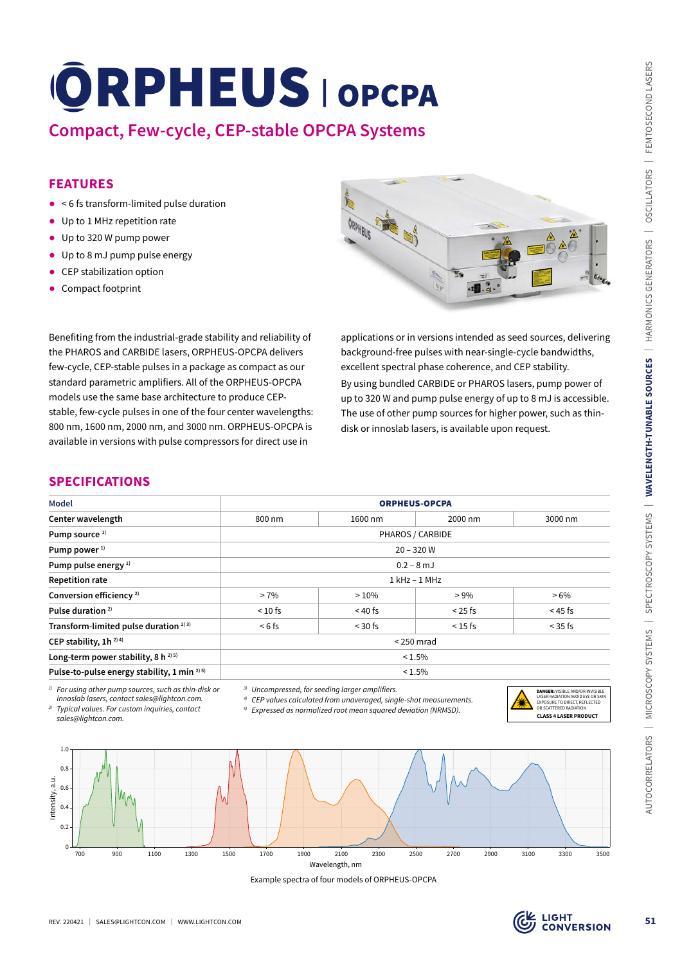## **FEATURES**

- ᰋ < 6 fs transform-limited pulse duration
- Up to 1 MHz repetition rate
- Up to 320 W pump power
- Up to 8 mJ pump pulse energy
- CEP stabilization option
- Compact footprint



## **SPECIFICATIONS**

| <b>Compact, Few-cycle, CEP-stable OPCPA Systems</b>                                                                                                                                                                                                                                                                                                                                                                                                                | <b>ORPHEUS OPCPA</b>                                       |                                                                                                                                                      |                                                                                                               |                                                                                                                                                                                                                                                          |  |
|--------------------------------------------------------------------------------------------------------------------------------------------------------------------------------------------------------------------------------------------------------------------------------------------------------------------------------------------------------------------------------------------------------------------------------------------------------------------|------------------------------------------------------------|------------------------------------------------------------------------------------------------------------------------------------------------------|---------------------------------------------------------------------------------------------------------------|----------------------------------------------------------------------------------------------------------------------------------------------------------------------------------------------------------------------------------------------------------|--|
| <b>FEATURES</b>                                                                                                                                                                                                                                                                                                                                                                                                                                                    |                                                            |                                                                                                                                                      |                                                                                                               |                                                                                                                                                                                                                                                          |  |
| < 6 fs transform-limited pulse duration                                                                                                                                                                                                                                                                                                                                                                                                                            |                                                            |                                                                                                                                                      |                                                                                                               |                                                                                                                                                                                                                                                          |  |
| • Up to 1 MHz repetition rate                                                                                                                                                                                                                                                                                                                                                                                                                                      |                                                            |                                                                                                                                                      |                                                                                                               |                                                                                                                                                                                                                                                          |  |
| Up to 320 W pump power                                                                                                                                                                                                                                                                                                                                                                                                                                             |                                                            |                                                                                                                                                      |                                                                                                               |                                                                                                                                                                                                                                                          |  |
| • Up to 8 mJ pump pulse energy                                                                                                                                                                                                                                                                                                                                                                                                                                     |                                                            |                                                                                                                                                      |                                                                                                               |                                                                                                                                                                                                                                                          |  |
| CEP stabilization option                                                                                                                                                                                                                                                                                                                                                                                                                                           |                                                            |                                                                                                                                                      |                                                                                                               |                                                                                                                                                                                                                                                          |  |
| Compact footprint                                                                                                                                                                                                                                                                                                                                                                                                                                                  |                                                            |                                                                                                                                                      |                                                                                                               |                                                                                                                                                                                                                                                          |  |
| the PHAROS and CARBIDE lasers, ORPHEUS-OPCPA delivers<br>few-cycle, CEP-stable pulses in a package as compact as our<br>standard parametric amplifiers. All of the ORPHEUS-OPCPA<br>models use the same base architecture to produce CEP-<br>stable, few-cycle pulses in one of the four center wavelengths:<br>800 nm, 1600 nm, 2000 nm, and 3000 nm. ORPHEUS-OPCPA is<br>available in versions with pulse compressors for direct use in<br><b>SPECIFICATIONS</b> |                                                            |                                                                                                                                                      | excellent spectral phase coherence, and CEP stability.<br>disk or innoslab lasers, is available upon request. | background-free pulses with near-single-cycle bandwidths,<br>By using bundled CARBIDE or PHAROS lasers, pump power of<br>up to 320 W and pump pulse energy of up to 8 mJ is accessible.<br>The use of other pump sources for higher power, such as thin- |  |
| <b>Model</b>                                                                                                                                                                                                                                                                                                                                                                                                                                                       |                                                            | <b>ORPHEUS-OPCPA</b>                                                                                                                                 |                                                                                                               |                                                                                                                                                                                                                                                          |  |
| Center wavelength                                                                                                                                                                                                                                                                                                                                                                                                                                                  | 800 nm                                                     | 1600 nm                                                                                                                                              | 2000 nm                                                                                                       | 3000 nm                                                                                                                                                                                                                                                  |  |
| Pump source <sup>1)</sup>                                                                                                                                                                                                                                                                                                                                                                                                                                          |                                                            | PHAROS / CARBIDE                                                                                                                                     |                                                                                                               |                                                                                                                                                                                                                                                          |  |
| Pump power <sup>1)</sup>                                                                                                                                                                                                                                                                                                                                                                                                                                           | $20 - 320 W$                                               |                                                                                                                                                      |                                                                                                               |                                                                                                                                                                                                                                                          |  |
| Pump pulse energy <sup>1)</sup>                                                                                                                                                                                                                                                                                                                                                                                                                                    | $0.2 - 8$ mJ                                               |                                                                                                                                                      |                                                                                                               |                                                                                                                                                                                                                                                          |  |
| <b>Repetition rate</b>                                                                                                                                                                                                                                                                                                                                                                                                                                             |                                                            | $1$ kHz $-$ 1 MHz                                                                                                                                    |                                                                                                               |                                                                                                                                                                                                                                                          |  |
| Conversion efficiency <sup>2)</sup>                                                                                                                                                                                                                                                                                                                                                                                                                                | $> 7\%$                                                    | >10%                                                                                                                                                 | $> 9\%$                                                                                                       | $>6\%$                                                                                                                                                                                                                                                   |  |
| Pulse duration <sup>2)</sup>                                                                                                                                                                                                                                                                                                                                                                                                                                       | $< 10$ fs                                                  | $< 40$ fs                                                                                                                                            | $< 25$ fs                                                                                                     | $<$ 45 fs                                                                                                                                                                                                                                                |  |
| Transform-limited pulse duration <sup>2)3)</sup>                                                                                                                                                                                                                                                                                                                                                                                                                   | $< 6$ fs                                                   | $<$ 30 fs                                                                                                                                            | $< 15$ fs                                                                                                     | $<$ 35 fs                                                                                                                                                                                                                                                |  |
| CEP stability, 1h <sup>2)4)</sup>                                                                                                                                                                                                                                                                                                                                                                                                                                  | $<$ 250 mrad                                               |                                                                                                                                                      |                                                                                                               |                                                                                                                                                                                                                                                          |  |
| Long-term power stability, 8 h <sup>2) 5)</sup><br>Pulse-to-pulse energy stability, 1 min <sup>2) 5)</sup>                                                                                                                                                                                                                                                                                                                                                         | < 1.5%<br>$< 1.5\%$                                        |                                                                                                                                                      |                                                                                                               |                                                                                                                                                                                                                                                          |  |
| <sup>1)</sup> For using other pump sources, such as thin-disk or<br>innoslab lasers, contact sales@lightcon.com.<br><sup>2)</sup> Typical values. For custom inquiries, contact<br>sales@lightcon.com.                                                                                                                                                                                                                                                             | <sup>3)</sup> Uncompressed, for seeding larger amplifiers. | $4$ ) CEP values calculated from unaveraged, single-shot measurements.<br><sup>5)</sup> Expressed as normalized root mean squared deviation (NRMSD). |                                                                                                               | <b>DANGER:</b> VISIBLE AND/OR INVISIBLE<br>LASER RADIATION AVOID EYE OR SKIN<br>EXPOSURE TO DIRECT REFLECTED<br>OR SCATTERED RADIATION<br><b>CLASS 4 LASER PRODUCT</b>                                                                                   |  |
|                                                                                                                                                                                                                                                                                                                                                                                                                                                                    |                                                            |                                                                                                                                                      |                                                                                                               |                                                                                                                                                                                                                                                          |  |
| 1.0<br>0.8<br>Intensity, a.u.<br>0.6<br>0.4<br>0.2<br>$\mathbf 0$                                                                                                                                                                                                                                                                                                                                                                                                  | W                                                          |                                                                                                                                                      |                                                                                                               |                                                                                                                                                                                                                                                          |  |
| 700<br>900<br>1100<br>1300                                                                                                                                                                                                                                                                                                                                                                                                                                         | 1900<br>1500<br>1700                                       | 2500<br>2100<br>2300<br>Wavelength, nm                                                                                                               | 2700<br>2900                                                                                                  | 3100<br>3300<br>3500                                                                                                                                                                                                                                     |  |
|                                                                                                                                                                                                                                                                                                                                                                                                                                                                    |                                                            | Example spectra of four models of ORPHEUS-OPCPA                                                                                                      |                                                                                                               |                                                                                                                                                                                                                                                          |  |
|                                                                                                                                                                                                                                                                                                                                                                                                                                                                    |                                                            |                                                                                                                                                      |                                                                                                               |                                                                                                                                                                                                                                                          |  |
| SALES@LIGHTCON.COM   WWW.LIGHTCON.COM<br>REV. 220421                                                                                                                                                                                                                                                                                                                                                                                                               |                                                            |                                                                                                                                                      |                                                                                                               | $\tilde{\epsilon}$ ל בופח                                                                                                                                                                                                                                |  |





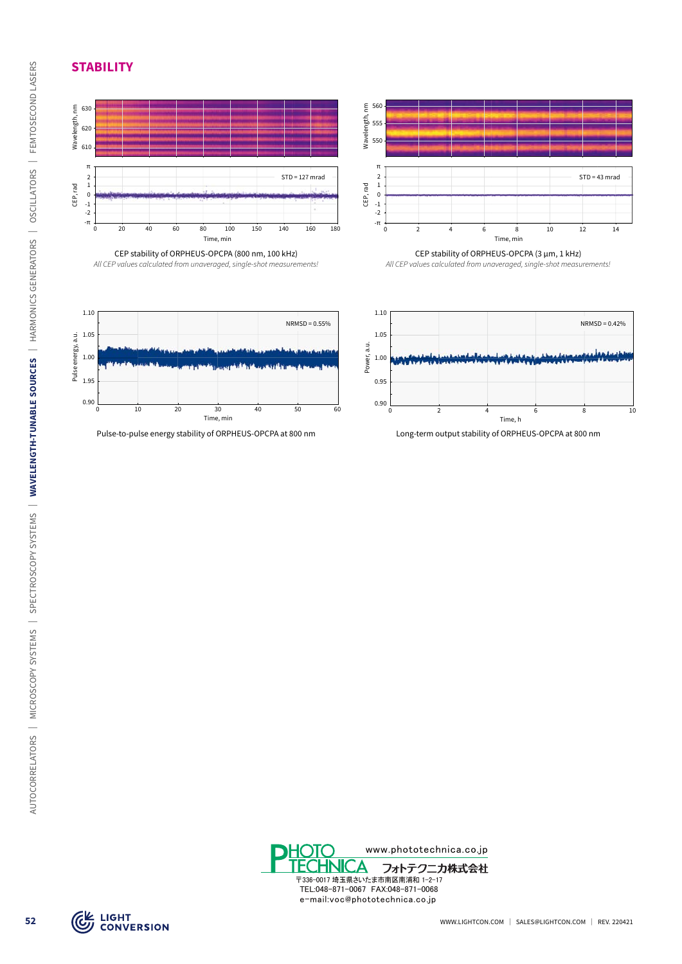**STABILITY**



*All CEP values calculated from unaveraged, single-shot measurements!*



CEP stability of ORPHEUS-OPCPA (3 µm, 1 kHz)

*All CEP values calculated from unaveraged, single-shot measurements!*



Pulse-to-pulse energy stability of ORPHEUS-OPCPA at 800 nm Long-term output stability of ORPHEUS-OPCPA at 800 nm





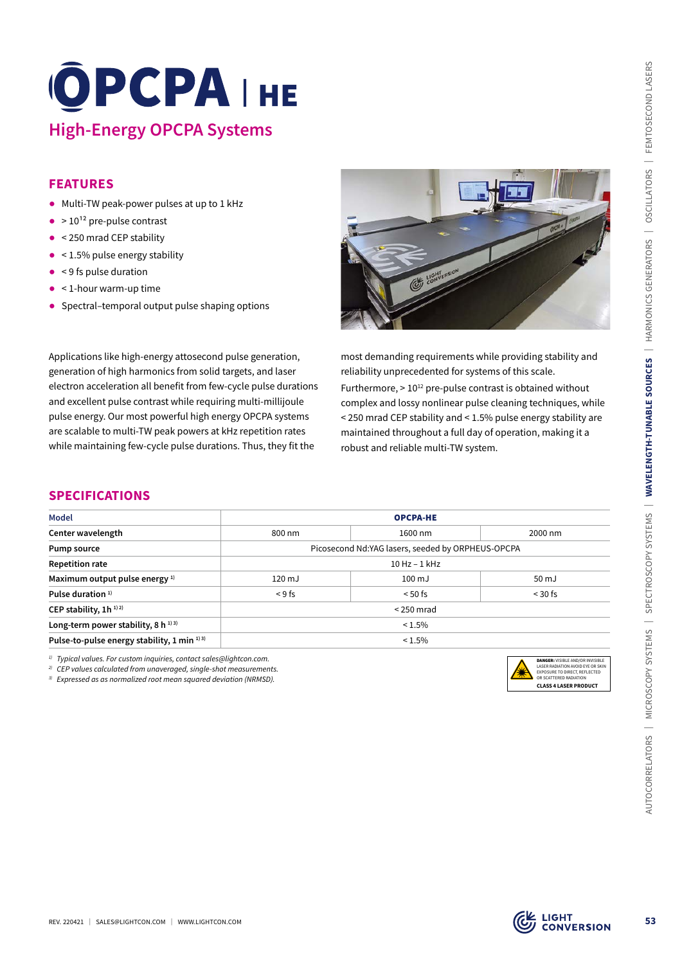# **High-Energy OPCPA Systems**

## **FEATURES**

- ᰋ Multi-TW peak-power pulses at up to 1 kHz
- $\bullet$  > 10<sup>12</sup> pre-pulse contrast
- < 250 mrad CEP stability
- $\bullet$  < 1.5% pulse energy stability
- $\bullet$  < 9 fs pulse duration
- < 1-hour warm-up time
- Spectral–temporal output pulse shaping options



## **SPECIFICATIONS**

| <b>High-Energy OPCPA Systems</b>                                                                                                                                                                                                                                                                                                                                                                                                                                                       | OPCPAIHE     |                                                                                                                                                                                                                                                                                                                                                                                                                                     |                                                                                                                                                                  |  |
|----------------------------------------------------------------------------------------------------------------------------------------------------------------------------------------------------------------------------------------------------------------------------------------------------------------------------------------------------------------------------------------------------------------------------------------------------------------------------------------|--------------|-------------------------------------------------------------------------------------------------------------------------------------------------------------------------------------------------------------------------------------------------------------------------------------------------------------------------------------------------------------------------------------------------------------------------------------|------------------------------------------------------------------------------------------------------------------------------------------------------------------|--|
| <b>FEATURES</b><br>Multi-TW peak-power pulses at up to 1 kHz<br>$\bullet$ > 10 <sup>12</sup> pre-pulse contrast<br>$\bullet$ < 250 mrad CEP stability<br>$\bullet$ < 1.5% pulse energy stability<br>< 9 fs pulse duration<br>< 1-hour warm-up time<br>• Spectral-temporal output pulse shaping options                                                                                                                                                                                 |              | CEL LIGHTERSION                                                                                                                                                                                                                                                                                                                                                                                                                     |                                                                                                                                                                  |  |
| Applications like high-energy attosecond pulse generation,<br>generation of high harmonics from solid targets, and laser<br>electron acceleration all benefit from few-cycle pulse durations<br>and excellent pulse contrast while requiring multi-millijoule<br>pulse energy. Our most powerful high energy OPCPA systems<br>are scalable to multi-TW peak powers at kHz repetition rates<br>while maintaining few-cycle pulse durations. Thus, they fit the<br><b>SPECIFICATIONS</b> |              | most demanding requirements while providing stability and<br>reliability unprecedented for systems of this scale.<br>Furthermore, > 10 <sup>12</sup> pre-pulse contrast is obtained without<br>complex and lossy nonlinear pulse cleaning techniques, while<br>< 250 mrad CEP stability and < 1.5% pulse energy stability are<br>maintained throughout a full day of operation, making it a<br>robust and reliable multi-TW system. |                                                                                                                                                                  |  |
| <b>Model</b>                                                                                                                                                                                                                                                                                                                                                                                                                                                                           |              |                                                                                                                                                                                                                                                                                                                                                                                                                                     |                                                                                                                                                                  |  |
| Center wavelength                                                                                                                                                                                                                                                                                                                                                                                                                                                                      | 800 nm       | <b>OPCPA-HE</b><br>1600 nm                                                                                                                                                                                                                                                                                                                                                                                                          | 2000 nm                                                                                                                                                          |  |
| Pump source                                                                                                                                                                                                                                                                                                                                                                                                                                                                            |              | Picosecond Nd:YAG lasers, seeded by ORPHEUS-OPCPA                                                                                                                                                                                                                                                                                                                                                                                   |                                                                                                                                                                  |  |
| <b>Repetition rate</b>                                                                                                                                                                                                                                                                                                                                                                                                                                                                 |              | 10 Hz - 1 kHz                                                                                                                                                                                                                                                                                                                                                                                                                       |                                                                                                                                                                  |  |
| Maximum output pulse energy 1)                                                                                                                                                                                                                                                                                                                                                                                                                                                         | 120 mJ       | $100 \mathrm{mJ}$                                                                                                                                                                                                                                                                                                                                                                                                                   | 50 mJ                                                                                                                                                            |  |
| Pulse duration <sup>1)</sup>                                                                                                                                                                                                                                                                                                                                                                                                                                                           | < 9 fs       | $< 50$ fs                                                                                                                                                                                                                                                                                                                                                                                                                           | $<$ 30 fs                                                                                                                                                        |  |
| CEP stability, 1h <sup>1)2)</sup>                                                                                                                                                                                                                                                                                                                                                                                                                                                      | $<$ 250 mrad |                                                                                                                                                                                                                                                                                                                                                                                                                                     |                                                                                                                                                                  |  |
| Long-term power stability, 8 h <sup>1)3)</sup>                                                                                                                                                                                                                                                                                                                                                                                                                                         |              | $< 1.5\%$                                                                                                                                                                                                                                                                                                                                                                                                                           |                                                                                                                                                                  |  |
| Pulse-to-pulse energy stability, 1 min 1)3)                                                                                                                                                                                                                                                                                                                                                                                                                                            |              | $< 1.5\%$                                                                                                                                                                                                                                                                                                                                                                                                                           |                                                                                                                                                                  |  |
|                                                                                                                                                                                                                                                                                                                                                                                                                                                                                        |              |                                                                                                                                                                                                                                                                                                                                                                                                                                     |                                                                                                                                                                  |  |
| <sup>1)</sup> Typical values. For custom inquiries, contact sales@lightcon.com.<br><sup>2)</sup> CEP values calculated from unaveraged, single-shot measurements.<br><sup>3)</sup> Expressed as as normalized root mean squared deviation (NRMSD).                                                                                                                                                                                                                                     |              |                                                                                                                                                                                                                                                                                                                                                                                                                                     | DANGER: VISIBLE AND/OR INVISIBLE<br>LASER RADIATION AVOID EYE OR SKIN<br>EXPOSURE TO DIRECT, REFLECTED<br>OR SCATTERED RADIATION<br><b>CLASS 4 LASER PRODUCT</b> |  |